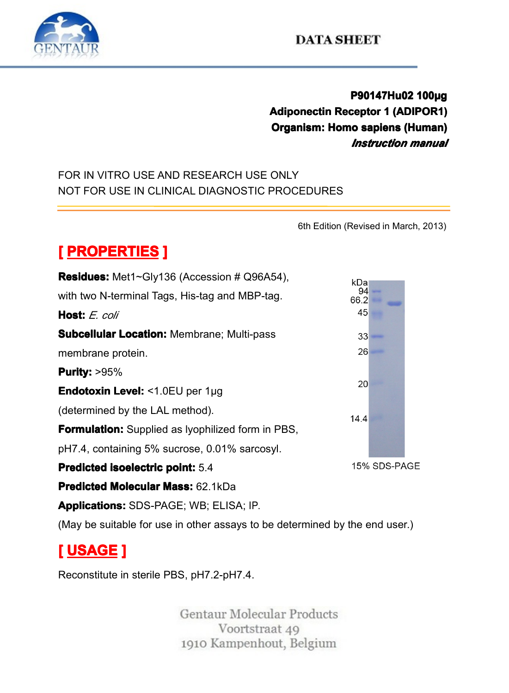

### **DATA SHEET**

## **P90147Hu02 100µg**<br>ceptor 1 (ADIPOR1)<br>io sapiens (Human)<br>*Instruction manua* **Adiponectin Receptor 1 (ADIPOR1)**<br>**Organism: Homo sapiens (Human)**<br>**Instruction manual**<br>ONLY **Componectificate Componectificate Component Component Component Component Component Component Component Component Component Component Component Component Component Component Component Component Component Component Compone**

## *Instruction manual*<br>FOR IN VITRO USE AND RESEARCH USE ONLY<br>NOT FOR USE IN CLINICAL DIAGNOSTIC PROCEDURES FOR IN VITRO USE AND RESEARCH USE ONLY NOT FOR USE IN CLINICAL DIAGNOSTIC PROCEDURES<br>
MOT FOR USE IN CLINICAL DIAGNOSTIC PROCEDURES<br>
6th Edition

6th Edition (Revised in March, 2013)

| [ PROPERTIES ]                                                              |              |
|-----------------------------------------------------------------------------|--------------|
| <b>Residues:</b> Met1~Gly136 (Accession # Q96A54),                          | kDa⊧         |
| with two N-terminal Tags, His-tag and MBP-tag.                              | 94<br>66.2   |
| Host: E. coli                                                               | 45           |
| <b>Subcellular Location: Membrane; Multi-pass</b>                           | $33 -$       |
| membrane protein.                                                           | 26           |
| <b>Purity: &gt;95%</b>                                                      |              |
| <b>Endotoxin Level: &lt;1.0EU per 1µg</b>                                   | 20           |
| (determined by the LAL method).                                             | 14.4         |
| <b>Formulation:</b> Supplied as Iyophilized form in PBS,                    |              |
| pH7.4, containing 5% sucrose, 0.01% sarcosyl.                               |              |
| <b>Predicted isoelectric point: 5.4</b>                                     | 15% SDS-PAGE |
| <b>Predicted Molecular Mass: 62.1kDa</b>                                    |              |
| <b>Applications: SDS-PAGE; WB; ELISA; IP.</b>                               |              |
| (May be suitable for use in other assays to be determined by the end user.) |              |
| <u>[ USAGE ]</u>                                                            |              |
| Reconstitute in sterile PBS, pH7.2-pH7.4.                                   |              |
|                                                                             |              |

# **[ USAGE ]**

Reconstitute in sterile PBS, pH7.2-pH7.4.<br>Gentaur Molo<br>Voorts